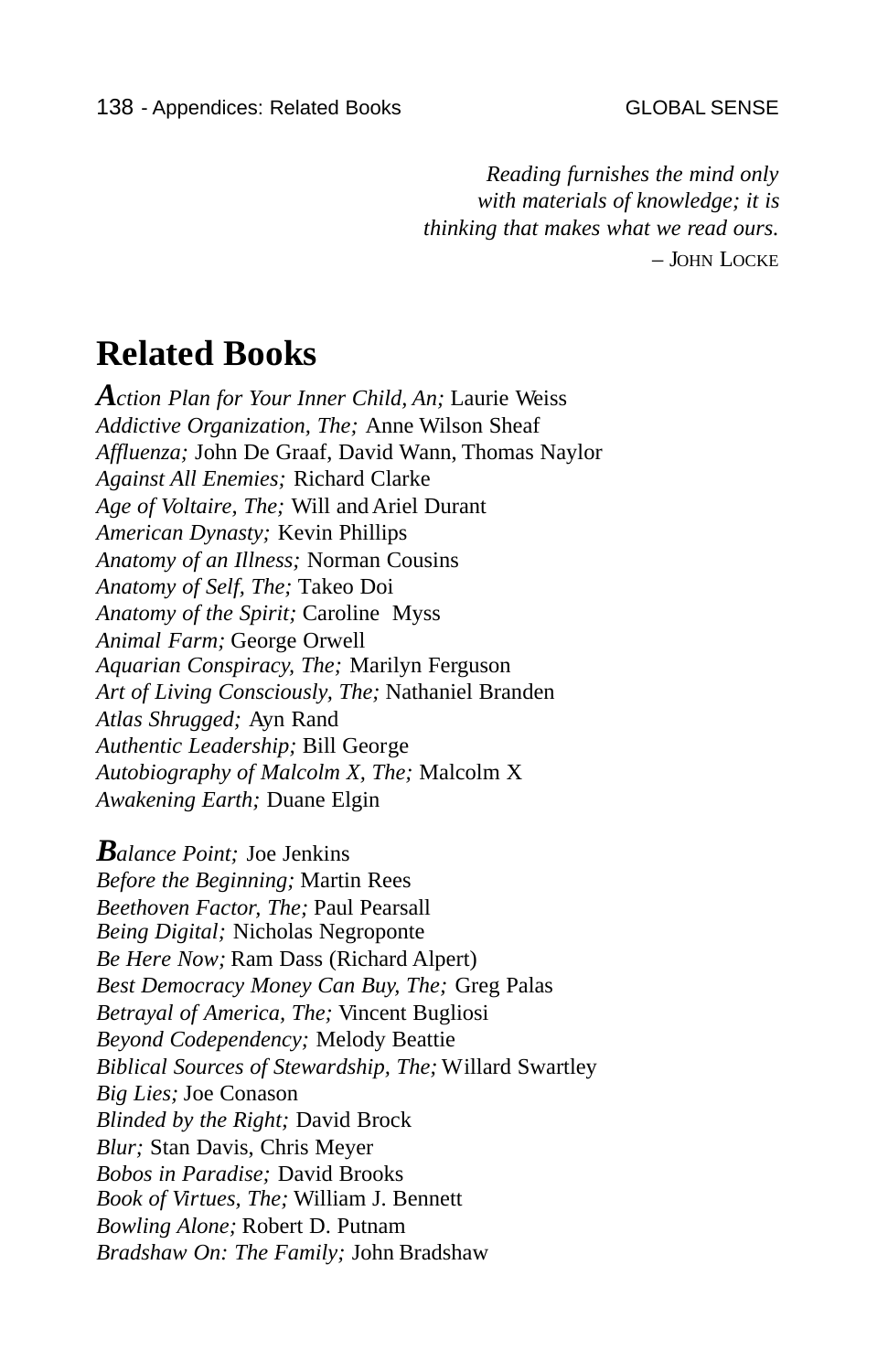*Reading furnishes the mind only with materials of knowledge; it is thinking that makes what we read ours.*  – JOHN LOCKE

## **Related Books**

*Action Plan for Your Inner Child, An;* Laurie Weiss *Addictive Organization, The;* Anne Wilson Sheaf *Affluenza;* John De Graaf, David Wann, Thomas Naylor *Against All Enemies;* Richard Clarke *Age of Voltaire, The;* Will and Ariel Durant *American Dynasty;* Kevin Phillips *Anatomy of an Illness;* Norman Cousins *Anatomy of Self, The;* Takeo Doi *Anatomy of the Spirit;* Caroline Myss *Animal Farm;* George Orwell *Aquarian Conspiracy, The;* Marilyn Ferguson *Art of Living Consciously, The;* Nathaniel Branden *Atlas Shrugged;* Ayn Rand *Authentic Leadership;* Bill George *Autobiography of Malcolm X, The;* Malcolm X *Awakening Earth;* Duane Elgin

*Balance Point;* Joe Jenkins *Before the Beginning;* Martin Rees *Beethoven Factor, The;* Paul Pearsall *Being Digital;* Nicholas Negroponte *Be Here Now;* Ram Dass (Richard Alpert) *Best Democracy Money Can Buy, The;* Greg Palas *Betrayal of America, The;* Vincent Bugliosi *Beyond Codependency;* Melody Beattie *Biblical Sources of Stewardship, The;* Willard Swartley *Big Lies;* Joe Conason *Blinded by the Right;* David Brock *Blur;* Stan Davis, Chris Meyer *Bobos in Paradise;* David Brooks *Book of Virtues, The;* William J. Bennett *Bowling Alone;* Robert D. Putnam *Bradshaw On: The Family;* John Bradshaw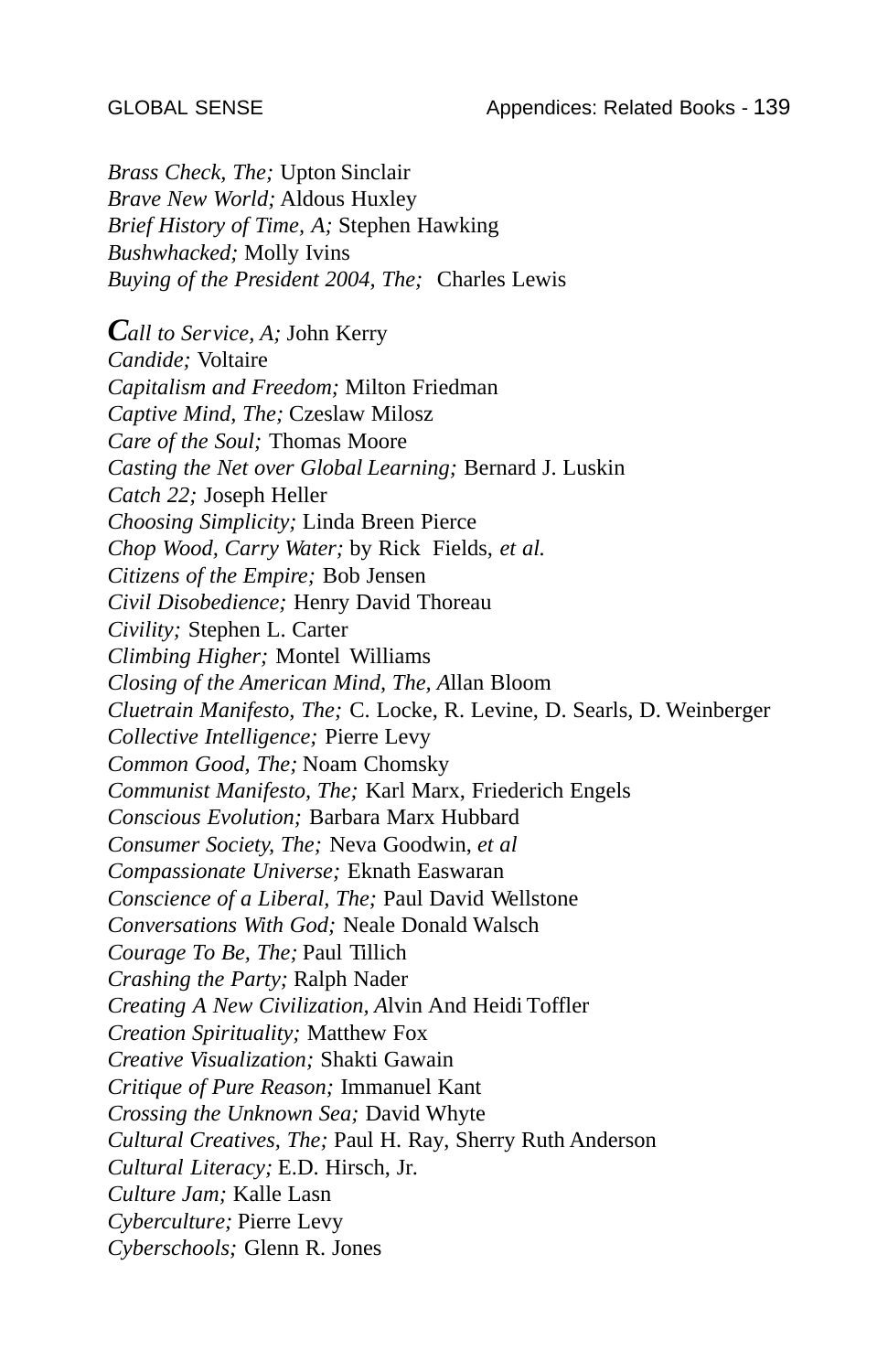*Brass Check, The; Upton Sinclair Brave New World;* Aldous Huxley *Brief History of Time, A;* Stephen Hawking *Bushwhacked;* Molly Ivins *Buying of the President 2004, The;* Charles Lewis

*Call to Service, A;* John Kerry *Candide;* Voltaire *Capitalism and Freedom;* Milton Friedman *Captive Mind, The;* Czeslaw Milosz *Care of the Soul;* Thomas Moore *Casting the Net over Global Learning;* Bernard J. Luskin *Catch 22;* Joseph Heller *Choosing Simplicity;* Linda Breen Pierce *Chop Wood, Carry Water;* by Rick Fields, *et al. Citizens of the Empire;* Bob Jensen *Civil Disobedience;* Henry David Thoreau *Civility;* Stephen L. Carter *Climbing Higher;* Montel Williams *Closing of the American Mind, The, A*llan Bloom *Cluetrain Manifesto, The;* C. Locke, R. Levine, D. Searls, D. Weinberger *Collective Intelligence;* Pierre Levy *Common Good, The;* Noam Chomsky *Communist Manifesto, The;* Karl Marx, Friederich Engels *Conscious Evolution;* Barbara Marx Hubbard *Consumer Society, The;* Neva Goodwin, *et al Compassionate Universe;* Eknath Easwaran *Conscience of a Liberal, The;* Paul David Wellstone *Conversations With God;* Neale Donald Walsch *Courage To Be, The;* Paul Tillich *Crashing the Party;* Ralph Nader *Creating A New Civilization, A*lvin And Heidi Toffler *Creation Spirituality;* Matthew Fox *Creative Visualization;* Shakti Gawain *Critique of Pure Reason;* Immanuel Kant *Crossing the Unknown Sea;* David Whyte *Cultural Creatives, The;* Paul H. Ray, Sherry Ruth Anderson *Cultural Literacy;* E.D. Hirsch, Jr. *Culture Jam;* Kalle Lasn *Cyberculture;* Pierre Levy *Cyberschools;* Glenn R. Jones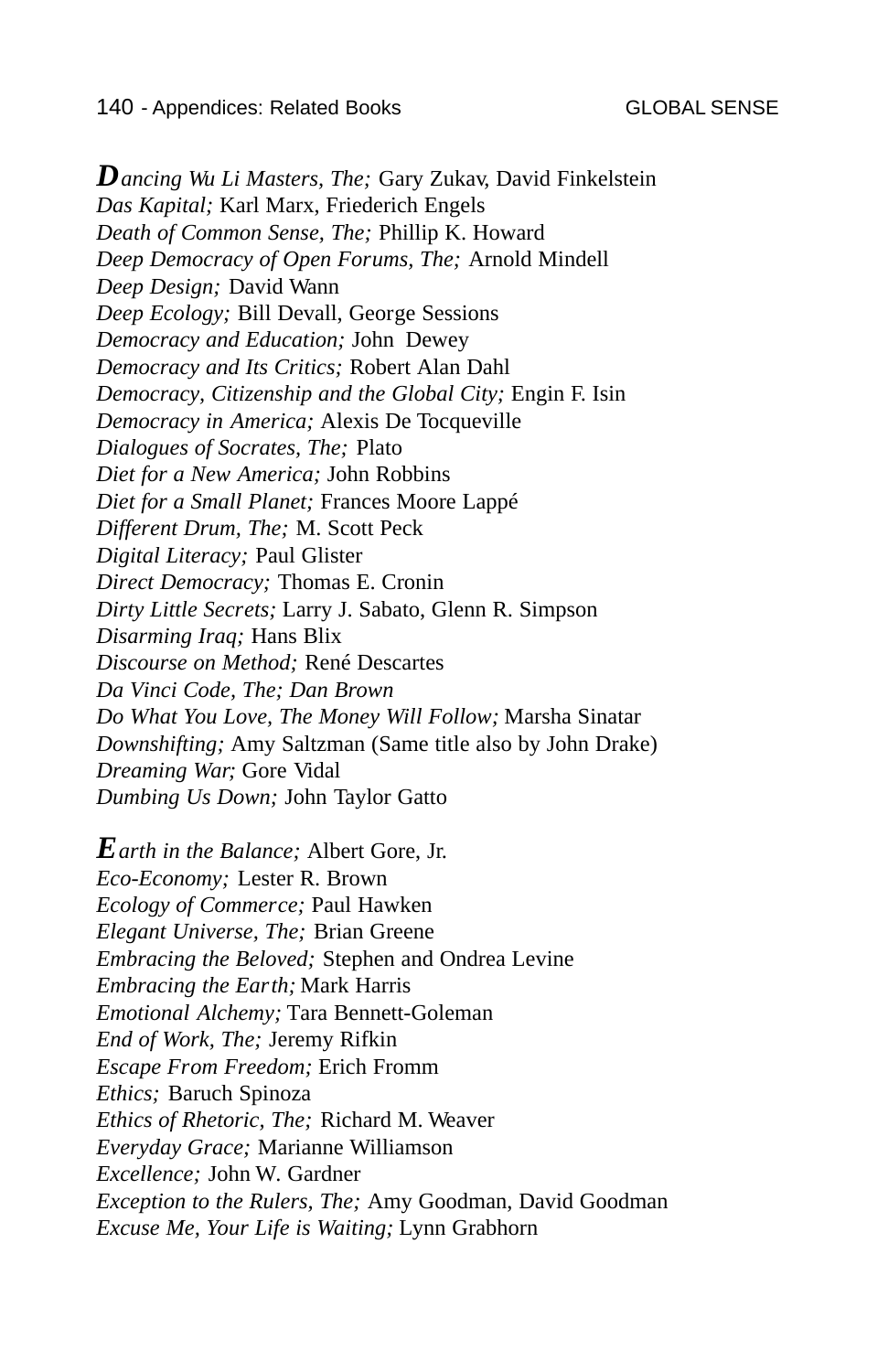*Dancing Wu Li Masters, The;* Gary Zukav, David Finkelstein *Das Kapital;* Karl Marx, Friederich Engels *Death of Common Sense, The;* Phillip K. Howard *Deep Democracy of Open Forums, The;* Arnold Mindell *Deep Design;* David Wann *Deep Ecology;* Bill Devall, George Sessions *Democracy and Education;* John Dewey *Democracy and Its Critics;* Robert Alan Dahl *Democracy, Citizenship and the Global City;* Engin F. Isin *Democracy in America;* Alexis De Tocqueville *Dialogues of Socrates, The;* Plato *Diet for a New America;* John Robbins *Diet for a Small Planet;* Frances Moore Lappé *Different Drum, The;* M. Scott Peck *Digital Literacy;* Paul Glister *Direct Democracy;* Thomas E. Cronin *Dirty Little Secrets;* Larry J. Sabato, Glenn R. Simpson *Disarming Iraq;* Hans Blix *Discourse on Method;* René Descartes *Da Vinci Code, The; Dan Brown Do What You Love, The Money Will Follow;* Marsha Sinatar *Downshifting;* Amy Saltzman (Same title also by John Drake) *Dreaming War;* Gore Vidal *Dumbing Us Down;* John Taylor Gatto *Earth in the Balance;* Albert Gore, Jr.

*Eco-Economy;* Lester R. Brown *Ecology of Commerce;* Paul Hawken *Elegant Universe, The;* Brian Greene *Embracing the Beloved;* Stephen and Ondrea Levine *Embracing the Earth;* Mark Harris *Emotional Alchemy;* Tara Bennett-Goleman *End of Work, The;* Jeremy Rifkin *Escape From Freedom;* Erich Fromm *Ethics;* Baruch Spinoza *Ethics of Rhetoric, The;* Richard M. Weaver *Everyday Grace;* Marianne Williamson *Excellence;* John W. Gardner *Exception to the Rulers, The;* Amy Goodman, David Goodman *Excuse Me, Your Life is Waiting;* Lynn Grabhorn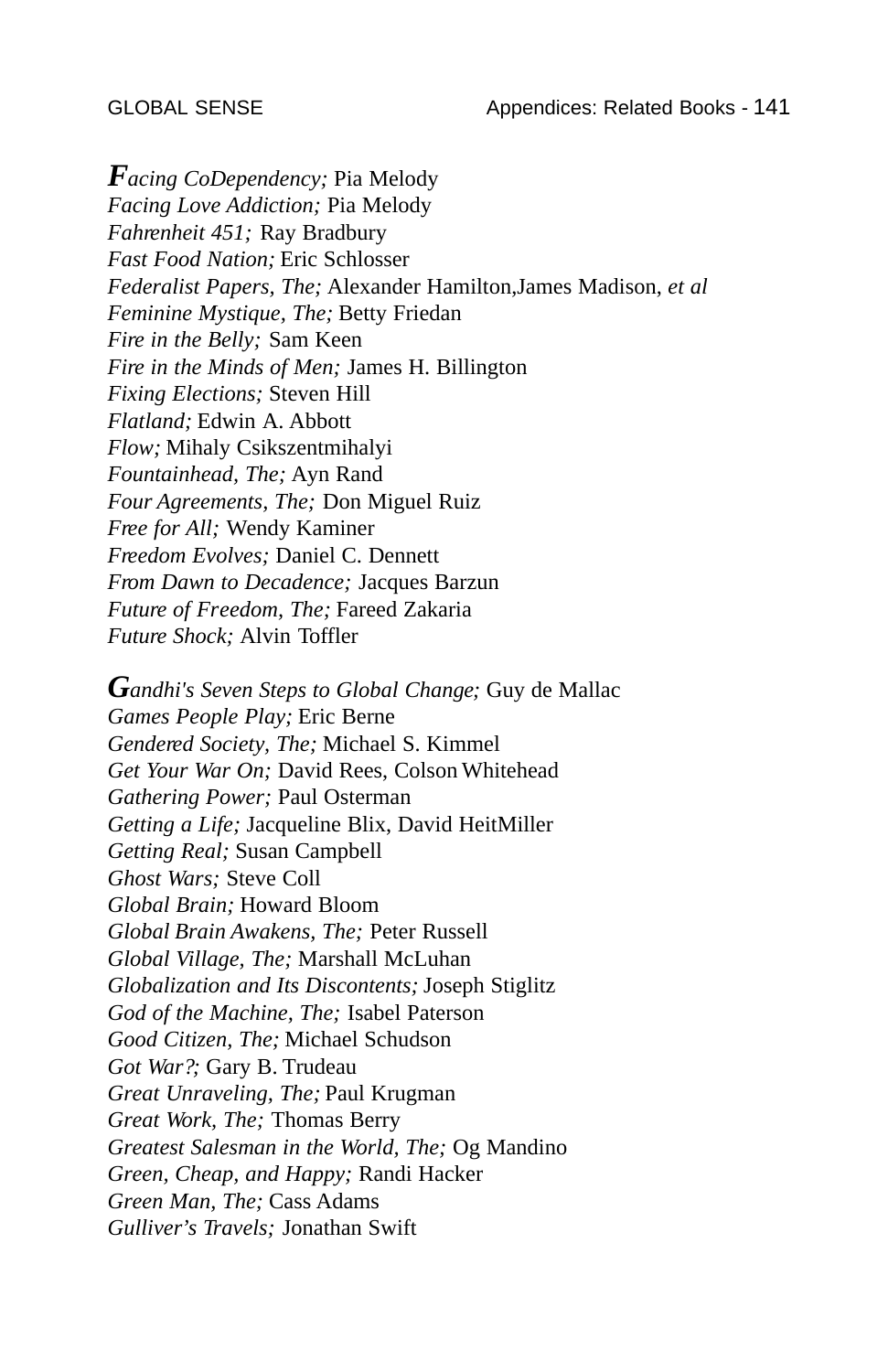*Facing CoDependency;* Pia Melody *Facing Love Addiction;* Pia Melody *Fahrenheit 451;* Ray Bradbury *Fast Food Nation;* Eric Schlosser *Federalist Papers, The;* Alexander Hamilton,James Madison, *et al Feminine Mystique, The;* Betty Friedan *Fire in the Belly;* Sam Keen *Fire in the Minds of Men;* James H. Billington *Fixing Elections;* Steven Hill *Flatland;* Edwin A. Abbott *Flow;* Mihaly Csikszentmihalyi *Fountainhead, The;* Ayn Rand *Four Agreements, The;* Don Miguel Ruiz *Free for All;* Wendy Kaminer *Freedom Evolves;* Daniel C. Dennett *From Dawn to Decadence;* Jacques Barzun *Future of Freedom, The;* Fareed Zakaria *Future Shock;* Alvin Toffler

*Gandhi's Seven Steps to Global Change;* Guy de Mallac *Games People Play;* Eric Berne *Gendered Society, The;* Michael S. Kimmel *Get Your War On;* David Rees, Colson Whitehead *Gathering Power;* Paul Osterman *Getting a Life;* Jacqueline Blix, David HeitMiller *Getting Real;* Susan Campbell *Ghost Wars;* Steve Coll *Global Brain;* Howard Bloom *Global Brain Awakens, The;* Peter Russell *Global Village, The;* Marshall McLuhan *Globalization and Its Discontents;* Joseph Stiglitz *God of the Machine, The;* Isabel Paterson *Good Citizen, The;* Michael Schudson *Got War?;* Gary B. Trudeau *Great Unraveling, The;* Paul Krugman *Great Work, The;* Thomas Berry *Greatest Salesman in the World, The;* Og Mandino *Green, Cheap, and Happy;* Randi Hacker *Green Man, The;* Cass Adams *Gulliver's Travels;* Jonathan Swift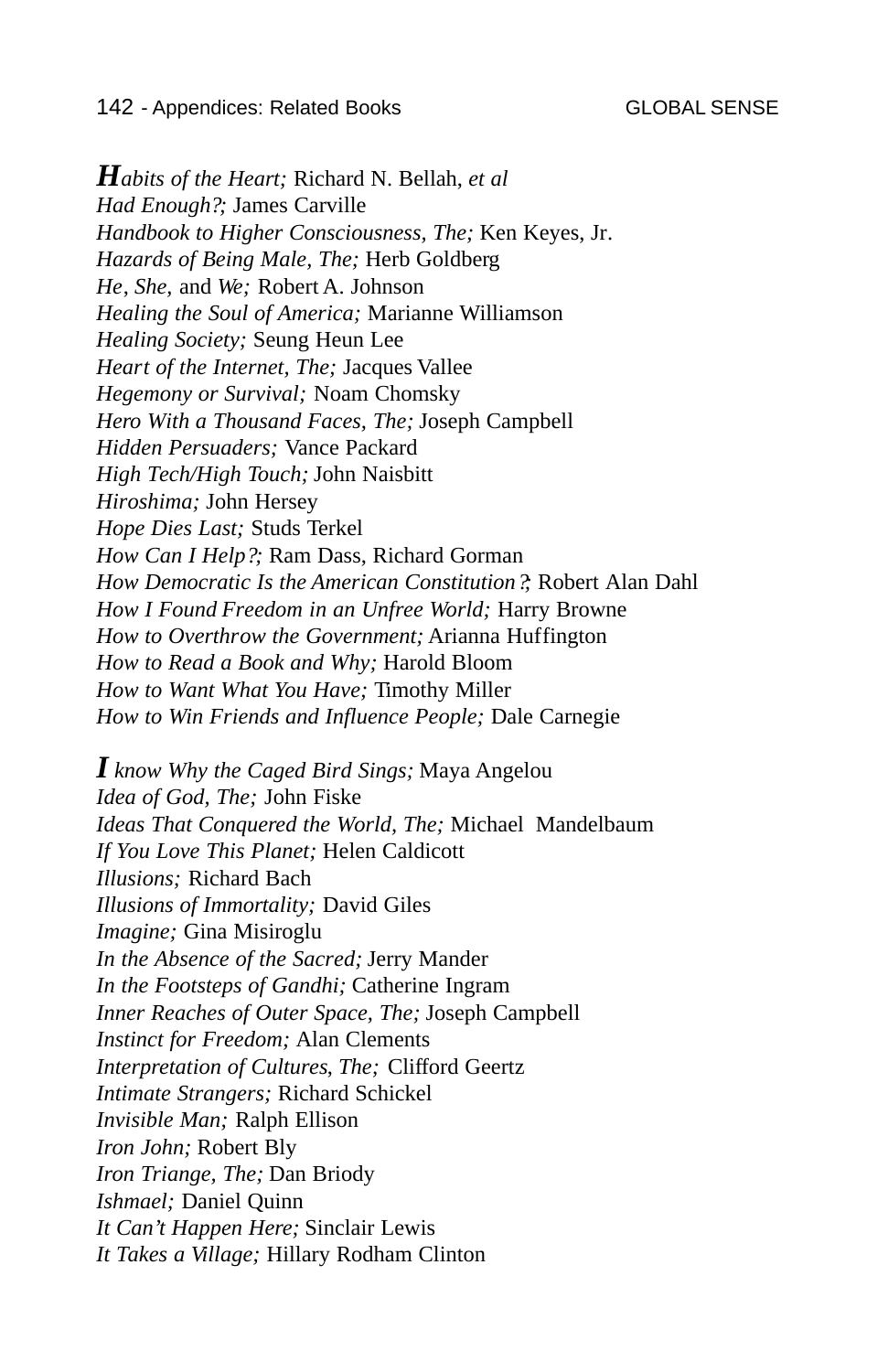*Habits of the Heart;* Richard N. Bellah, *et al Had Enough?;* James Carville *Handbook to Higher Consciousness, The;* Ken Keyes, Jr. *Hazards of Being Male, The;* Herb Goldberg *He*, *She,* and *We;* Robert A. Johnson *Healing the Soul of America;* Marianne Williamson *Healing Society;* Seung Heun Lee *Heart of the Internet, The;* Jacques Vallee *Hegemony or Survival;* Noam Chomsky *Hero With a Thousand Faces, The;* Joseph Campbell *Hidden Persuaders;* Vance Packard *High Tech/High Touch;* John Naisbitt *Hiroshima;* John Hersey *Hope Dies Last;* Studs Terkel *How Can I Help?;* Ram Dass, Richard Gorman *How Democratic Is the American Constitution?;* Robert Alan Dahl *How I Found Freedom in an Unfree World;* Harry Browne *How to Overthrow the Government;* Arianna Huffington *How to Read a Book and Why;* Harold Bloom *How to Want What You Have;* Timothy Miller *How to Win Friends and Influence People;* Dale Carnegie

*I know Why the Caged Bird Sings;* Maya Angelou *Idea of God, The;* John Fiske *Ideas That Conquered the World, The;* Michael Mandelbaum *If You Love This Planet;* Helen Caldicott *Illusions;* Richard Bach *Illusions of Immortality;* David Giles *Imagine;* Gina Misiroglu *In the Absence of the Sacred;* Jerry Mander *In the Footsteps of Gandhi;* Catherine Ingram *Inner Reaches of Outer Space, The;* Joseph Campbell *Instinct for Freedom;* Alan Clements *Interpretation of Cultures*, *The;* Clifford Geertz *Intimate Strangers;* Richard Schickel *Invisible Man;* Ralph Ellison *Iron John;* Robert Bly *Iron Triange, The;* Dan Briody *Ishmael;* Daniel Quinn *It Can't Happen Here;* Sinclair Lewis *It Takes a Village;* Hillary Rodham Clinton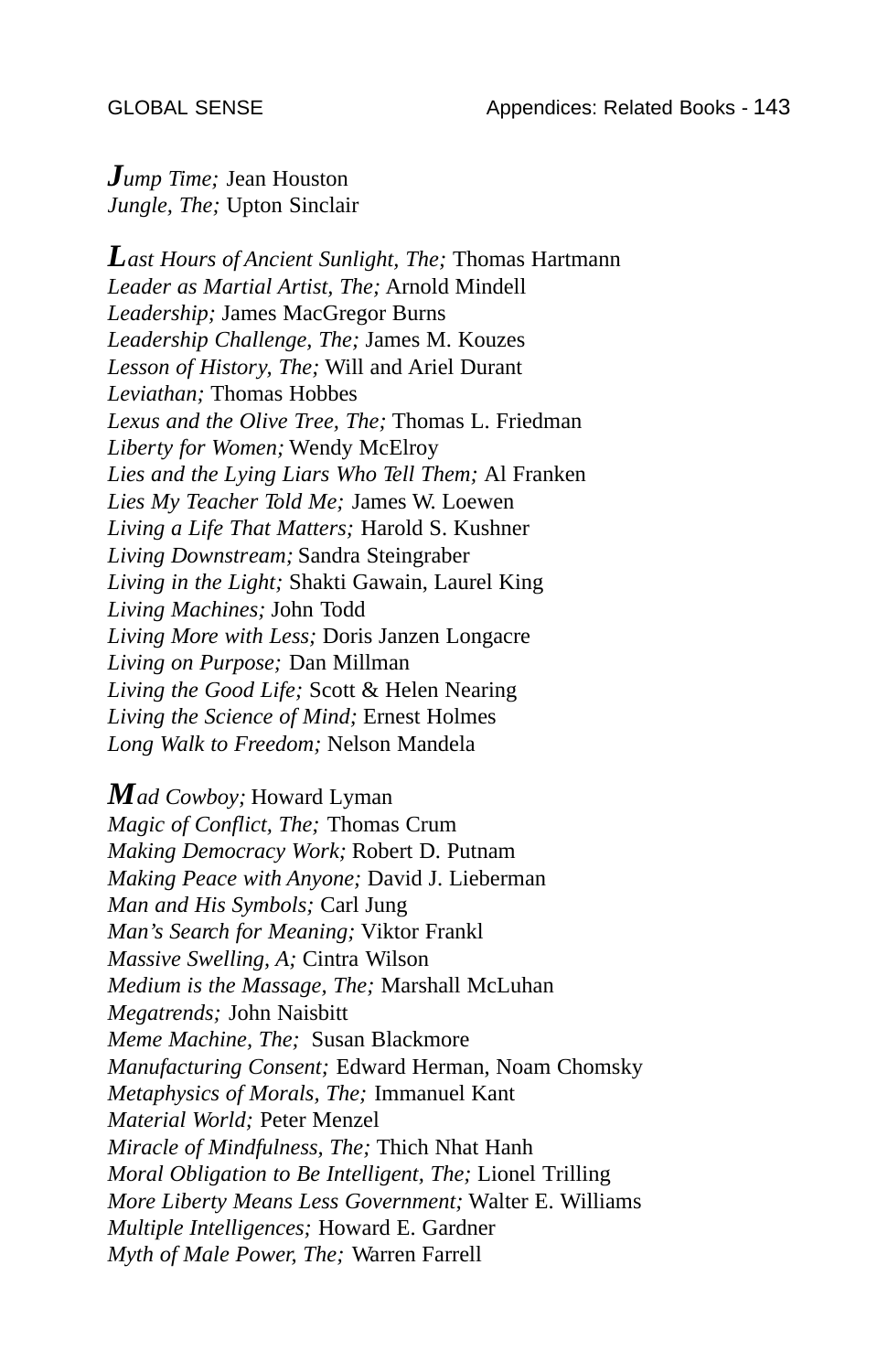*Jump Time;* Jean Houston *Jungle, The;* Upton Sinclair

*Last Hours of Ancient Sunlight, The;* Thomas Hartmann *Leader as Martial Artist, The;* Arnold Mindell *Leadership;* James MacGregor Burns *Leadership Challenge, The;* James M. Kouzes *Lesson of History, The;* Will and Ariel Durant *Leviathan;* Thomas Hobbes *Lexus and the Olive Tree, The;* Thomas L. Friedman *Liberty for Women;* Wendy McElroy *Lies and the Lying Liars Who Tell Them;* Al Franken *Lies My Teacher Told Me;* James W. Loewen *Living a Life That Matters;* Harold S. Kushner *Living Downstream;* Sandra Steingraber *Living in the Light;* Shakti Gawain, Laurel King *Living Machines;* John Todd *Living More with Less;* Doris Janzen Longacre *Living on Purpose;* Dan Millman *Living the Good Life;* Scott & Helen Nearing *Living the Science of Mind;* Ernest Holmes *Long Walk to Freedom;* Nelson Mandela

*Mad Cowboy;* Howard Lyman *Magic of Conflict, The;* Thomas Crum *Making Democracy Work;* Robert D. Putnam *Making Peace with Anyone;* David J. Lieberman *Man and His Symbols;* Carl Jung *Man's Search for Meaning;* Viktor Frankl *Massive Swelling, A;* Cintra Wilson *Medium is the Massage, The;* Marshall McLuhan *Megatrends;* John Naisbitt *Meme Machine, The;* Susan Blackmore *Manufacturing Consent;* Edward Herman, Noam Chomsky *Metaphysics of Morals, The;* Immanuel Kant *Material World;* Peter Menzel *Miracle of Mindfulness, The;* Thich Nhat Hanh *Moral Obligation to Be Intelligent, The;* Lionel Trilling *More Liberty Means Less Government;* Walter E. Williams *Multiple Intelligences;* Howard E. Gardner *Myth of Male Power, The;* Warren Farrell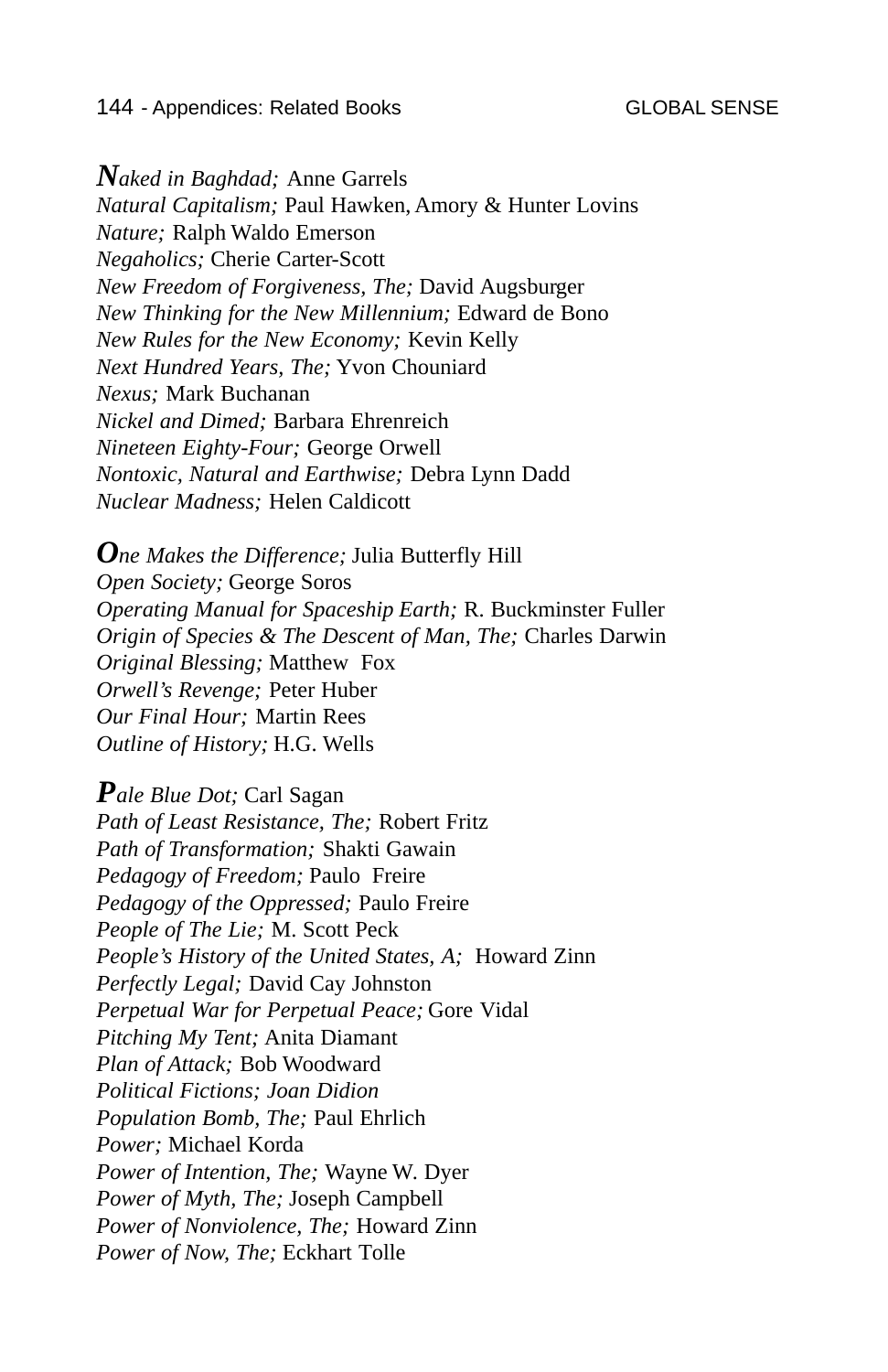## 144 - Appendices: Related Books GLOBAL SENSE

*Naked in Baghdad;* Anne Garrels *Natural Capitalism;* Paul Hawken, Amory & Hunter Lovins *Nature;* Ralph Waldo Emerson *Negaholics;* Cherie Carter-Scott *New Freedom of Forgiveness, The;* David Augsburger *New Thinking for the New Millennium;* Edward de Bono *New Rules for the New Economy;* Kevin Kelly *Next Hundred Years, The;* Yvon Chouniard *Nexus;* Mark Buchanan *Nickel and Dimed;* Barbara Ehrenreich *Nineteen Eighty-Four;* George Orwell *Nontoxic, Natural and Earthwise;* Debra Lynn Dadd *Nuclear Madness;* Helen Caldicott

*One Makes the Difference;* Julia Butterfly Hill *Open Society;* George Soros *Operating Manual for Spaceship Earth;* R. Buckminster Fuller *Origin of Species & The Descent of Man, The;* Charles Darwin *Original Blessing;* Matthew Fox *Orwell's Revenge;* Peter Huber *Our Final Hour;* Martin Rees *Outline of History;* H.G. Wells

*Pale Blue Dot;* Carl Sagan *Path of Least Resistance, The;* Robert Fritz *Path of Transformation;* Shakti Gawain *Pedagogy of Freedom;* Paulo Freire *Pedagogy of the Oppressed;* Paulo Freire *People of The Lie;* M. Scott Peck *People's History of the United States, A;* Howard Zinn *Perfectly Legal;* David Cay Johnston *Perpetual War for Perpetual Peace;* Gore Vidal *Pitching My Tent;* Anita Diamant *Plan of Attack;* Bob Woodward *Political Fictions; Joan Didion Population Bomb, The;* Paul Ehrlich *Power;* Michael Korda *Power of Intention, The;* Wayne W. Dyer *Power of Myth, The;* Joseph Campbell *Power of Nonviolence, The;* Howard Zinn *Power of Now, The;* Eckhart Tolle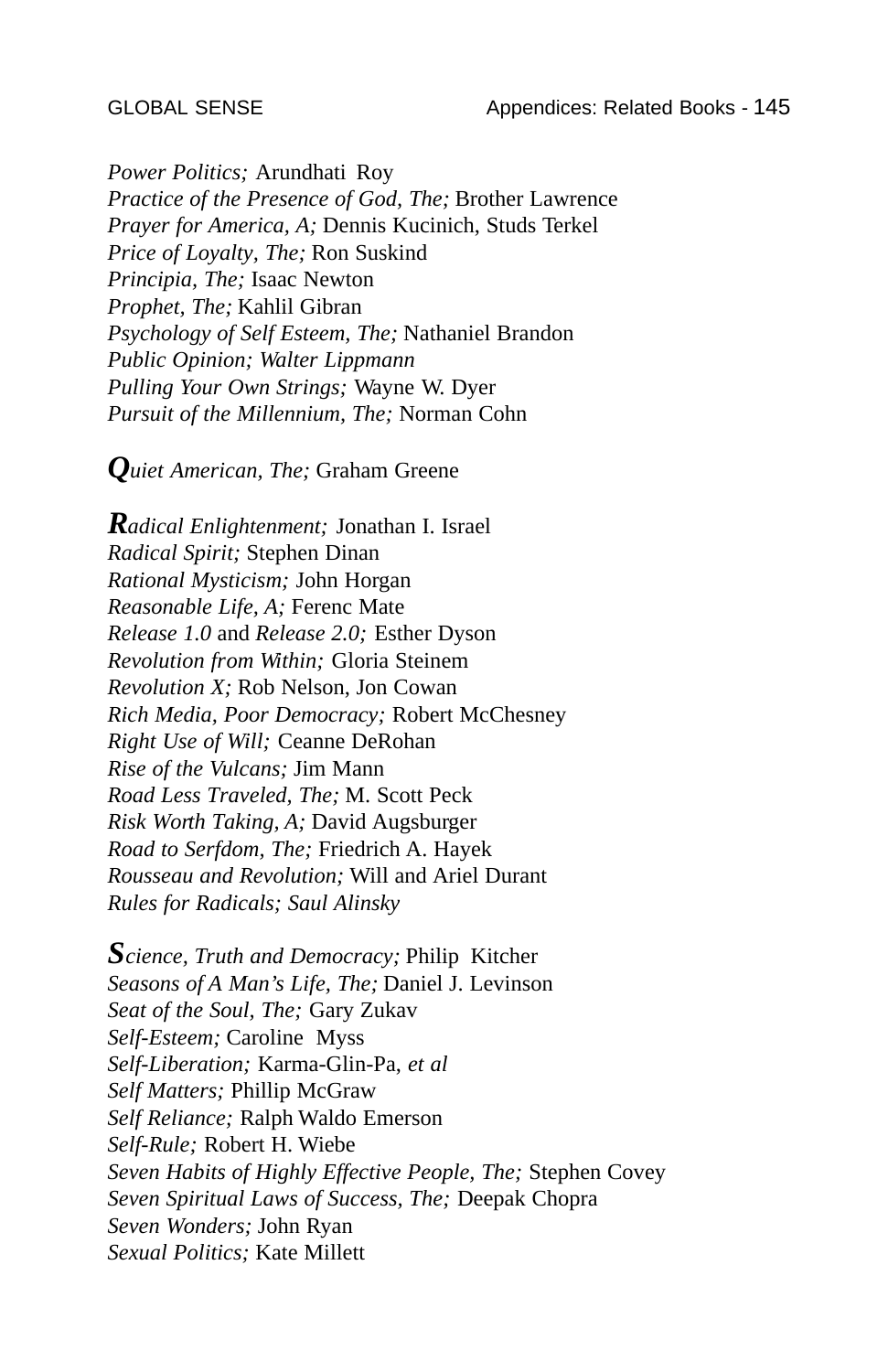*Power Politics;* Arundhati Roy *Practice of the Presence of God, The;* Brother Lawrence *Prayer for America, A;* Dennis Kucinich, Studs Terkel *Price of Loyalty, The;* Ron Suskind *Principia, The;* Isaac Newton *Prophet, The;* Kahlil Gibran *Psychology of Self Esteem, The;* Nathaniel Brandon *Public Opinion; Walter Lippmann Pulling Your Own Strings;* Wayne W. Dyer *Pursuit of the Millennium, The;* Norman Cohn

*Quiet American, The;* Graham Greene

*Radical Enlightenment;* Jonathan I. Israel *Radical Spirit;* Stephen Dinan *Rational Mysticism;* John Horgan *Reasonable Life, A;* Ferenc Mate *Release 1.0* and *Release 2.0;* Esther Dyson *Revolution from Within;* Gloria Steinem *Revolution X;* Rob Nelson, Jon Cowan *Rich Media, Poor Democracy;* Robert McChesney *Right Use of Will;* Ceanne DeRohan *Rise of the Vulcans;* Jim Mann *Road Less Traveled, The;* M. Scott Peck *Risk Worth Taking, A;* David Augsburger *Road to Serfdom, The;* Friedrich A. Hayek *Rousseau and Revolution;* Will and Ariel Durant *Rules for Radicals; Saul Alinsky*

*Science, Truth and Democracy;* Philip Kitcher *Seasons of A Man's Life, The;* Daniel J. Levinson *Seat of the Soul, The;* Gary Zukav *Self-Esteem;* Caroline Myss *Self-Liberation;* Karma-Glin-Pa, *et al Self Matters;* Phillip McGraw *Self Reliance;* Ralph Waldo Emerson *Self-Rule;* Robert H. Wiebe *Seven Habits of Highly Effective People, The;* Stephen Covey *Seven Spiritual Laws of Success, The;* Deepak Chopra *Seven Wonders;* John Ryan *Sexual Politics;* Kate Millett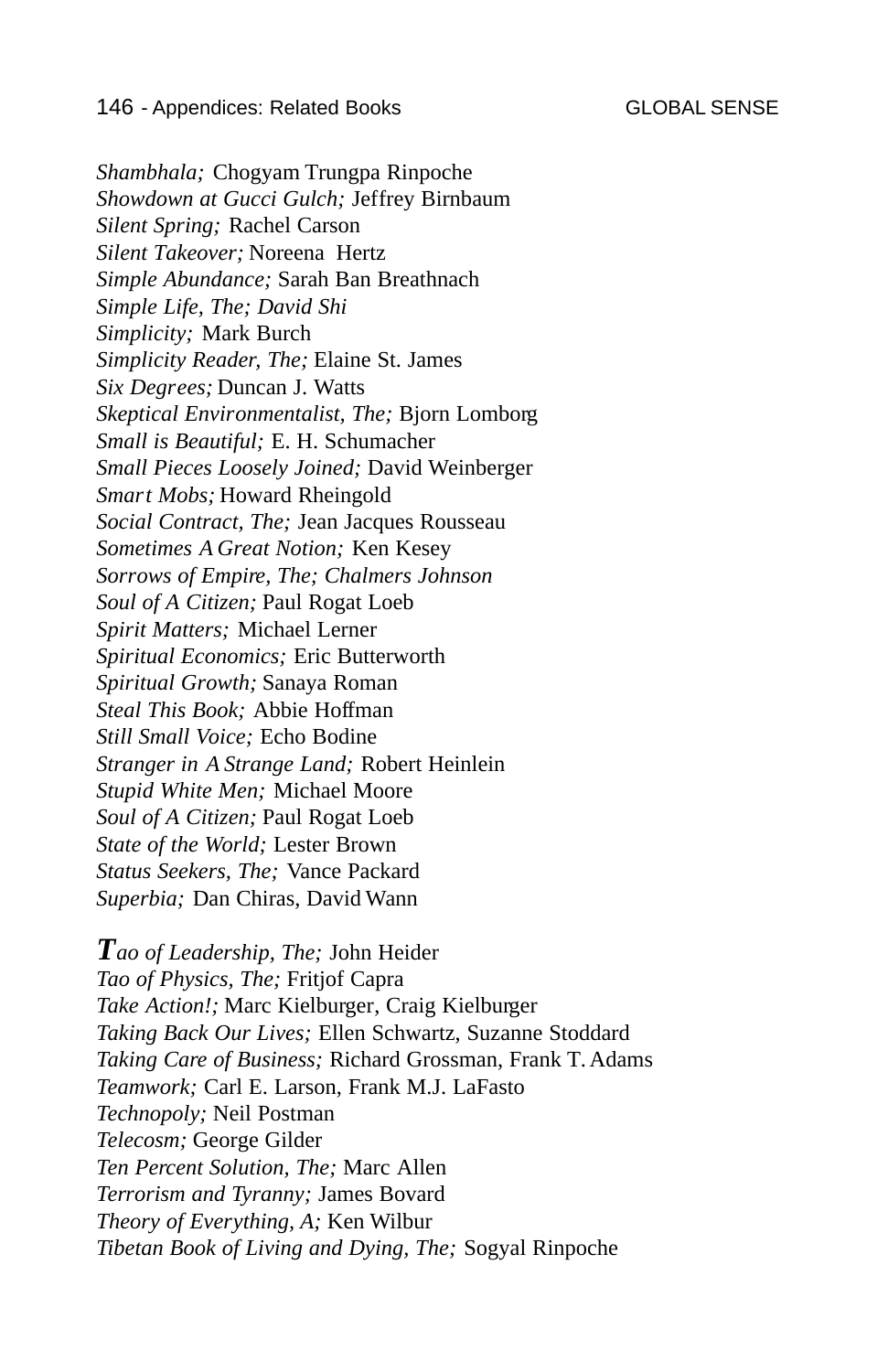*Shambhala;* Chogyam Trungpa Rinpoche *Showdown at Gucci Gulch;* Jeffrey Birnbaum *Silent Spring;* Rachel Carson *Silent Takeover;* Noreena Hertz *Simple Abundance;* Sarah Ban Breathnach *Simple Life, The; David Shi Simplicity;* Mark Burch *Simplicity Reader, The;* Elaine St. James *Six Degrees;* Duncan J. Watts *Skeptical Environmentalist, The;* Bjorn Lomborg *Small is Beautiful;* E. H. Schumacher *Small Pieces Loosely Joined;* David Weinberger *Smart Mobs;* Howard Rheingold *Social Contract, The;* Jean Jacques Rousseau *Sometimes A Great Notion;* Ken Kesey *Sorrows of Empire, The; Chalmers Johnson Soul of A Citizen;* Paul Rogat Loeb *Spirit Matters;* Michael Lerner *Spiritual Economics;* Eric Butterworth *Spiritual Growth;* Sanaya Roman *Steal This Book;* Abbie Hoffman *Still Small Voice;* Echo Bodine *Stranger in A Strange Land;* Robert Heinlein *Stupid White Men;* Michael Moore *Soul of A Citizen;* Paul Rogat Loeb *State of the World;* Lester Brown *Status Seekers, The;* Vance Packard *Superbia;* Dan Chiras, David Wann

*Tao of Leadership, The;* John Heider *Tao of Physics, The;* Fritjof Capra *Take Action!;* Marc Kielburger, Craig Kielburger *Taking Back Our Lives;* Ellen Schwartz, Suzanne Stoddard *Taking Care of Business;* Richard Grossman, Frank T. Adams *Teamwork;* Carl E. Larson, Frank M.J. LaFasto *Technopoly;* Neil Postman *Telecosm;* George Gilder *Ten Percent Solution, The;* Marc Allen *Terrorism and Tyranny;* James Bovard *Theory of Everything, A;* Ken Wilbur *Tibetan Book of Living and Dying, The;* Sogyal Rinpoche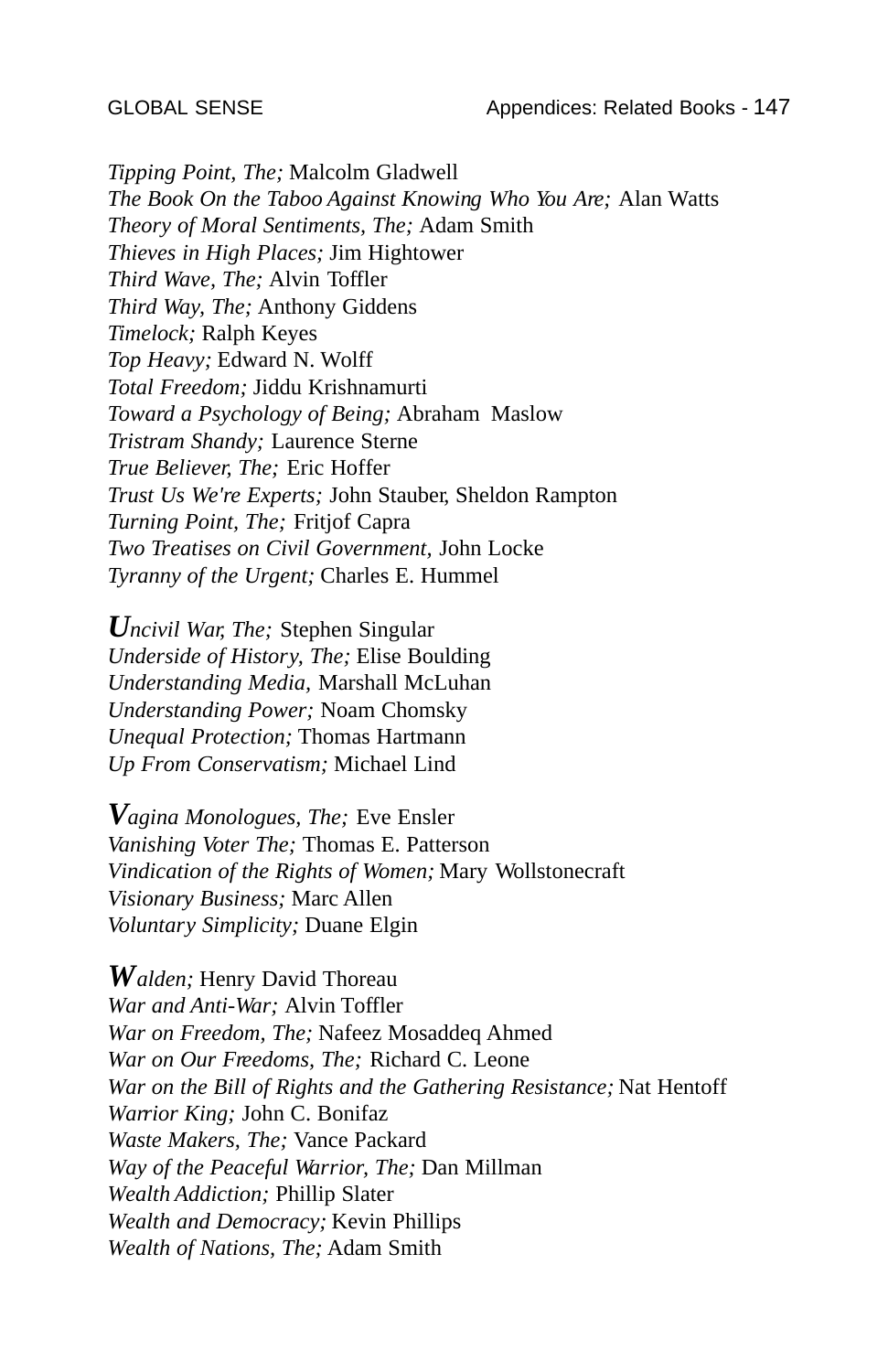*Tipping Point, The;* Malcolm Gladwell *The Book On the Taboo Against Knowing Who You Are;* Alan Watts *Theory of Moral Sentiments, The;* Adam Smith *Thieves in High Places;* Jim Hightower *Third Wave, The;* Alvin Toffler *Third Way, The;* Anthony Giddens *Timelock;* Ralph Keyes *Top Heavy;* Edward N. Wolff *Total Freedom;* Jiddu Krishnamurti *Toward a Psychology of Being;* Abraham Maslow *Tristram Shandy;* Laurence Sterne *True Believer, The;* Eric Hoffer *Trust Us We're Experts;* John Stauber, Sheldon Rampton *Turning Point, The;* Fritjof Capra *Two Treatises on Civil Government,* John Locke *Tyranny of the Urgent;* Charles E. Hummel

*Uncivil War, The;* Stephen Singular *Underside of History, The;* Elise Boulding *Understanding Media,* Marshall McLuhan *Understanding Power;* Noam Chomsky *Unequal Protection;* Thomas Hartmann *Up From Conservatism;* Michael Lind

*Vagina Monologues, The;* Eve Ensler *Vanishing Voter The;* Thomas E. Patterson *Vindication of the Rights of Women;* Mary Wollstonecraft *Visionary Business;* Marc Allen *Voluntary Simplicity;* Duane Elgin

*Walden;* Henry David Thoreau *War and Anti-War;* Alvin Toffler *War on Freedom, The;* Nafeez Mosaddeq Ahmed *War on Our Freedoms, The;* Richard C. Leone *War on the Bill of Rights and the Gathering Resistance;* Nat Hentoff *Warrior King;* John C. Bonifaz *Waste Makers, The;* Vance Packard *Way of the Peaceful Warrior, The;* Dan Millman *Wealth Addiction;* Phillip Slater *Wealth and Democracy;* Kevin Phillips *Wealth of Nations, The;* Adam Smith